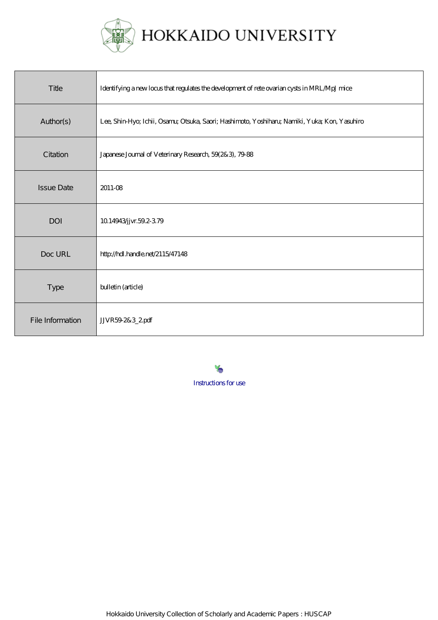

| Title             | Identifying a new locus that regulates the development of rete ovarian cysts in MRL. MpJ mice |
|-------------------|-----------------------------------------------------------------------------------------------|
| Author(s)         | Lee, Shin-Hyo; Ichii, Osanu; Otsuka, Saori; Hashimoto, Yoshiharu; Namiki, Yuka; Kon, Yasuhiro |
| Citation          | Japanese Journal of Veterinary Research, 59(2&3), 79-88                                       |
| <b>Issue Date</b> | 2011-08                                                                                       |
| <b>DOI</b>        | 10.14943/jvr.59.2-379                                                                         |
| Doc URL           | http://hdl.handle.net/2115/47148                                                              |
| <b>Type</b>       | bulletin (article)                                                                            |
| File Information  | JVR592&3_2pdf                                                                                 |

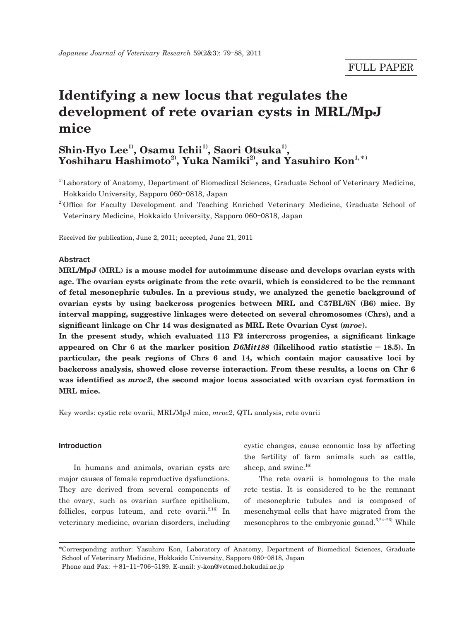# **Identifying a new locus that regulates the development of rete ovarian cysts in MRL/MpJ mice**

# Shin-Hyo Lee<sup>1)</sup>, Osamu Ichii<sup>1)</sup>, Saori Otsuka<sup>1)</sup>, Yoshiharu Hashimoto<sup>2</sup>, Yuka Namiki<sup>2</sup>, and Yasuhiro Kon<sup>1,\*</sup>

<sup>1)</sup>Laboratory of Anatomy, Department of Biomedical Sciences, Graduate School of Veterinary Medicine, Hokkaido University, Sapporo 060-0818, Japan

<sup>2)</sup>Office for Faculty Development and Teaching Enriched Veterinary Medicine, Graduate School of Veterinary Medicine, Hokkaido University, Sapporo 060-0818, Japan

Received for publication, June 2, 2011; accepted, June 21, 2011

#### **Abstract**

**MRL/MpJ (MRL) is a mouse model for autoimmune disease and develops ovarian cysts with age. The ovarian cysts originate from the rete ovarii, which is considered to be the remnant of fetal mesonephric tubules. In a previous study, we analyzed the genetic background of ovarian cysts by using backcross progenies between MRL and C57BL/6N (B6) mice. By interval mapping, suggestive linkages were detected on several chromosomes (Chrs), and a significant linkage on Chr 14 was designated as MRL Rete Ovarian Cyst (***mroc***).**

**In the present study, which evaluated 113 F2 intercross progenies, a significant linkage appeared on Chr 6 at the marker position** *D6Mit188* **(likelihood ratio statistic** = **18.5). In particular, the peak regions of Chrs 6 and 14, which contain major causative loci by backcross analysis, showed close reverse interaction. From these results, a locus on Chr 6 was identified as** *mroc2***, the second major locus associated with ovarian cyst formation in MRL mice.**

Key words: cystic rete ovarii, MRL/MpJ mice, *mroc2*, QTL analysis, rete ovarii

#### **Introduction**

 In humans and animals, ovarian cysts are major causes of female reproductive dysfunctions. They are derived from several components of the ovary, such as ovarian surface epithelium, follicles, corpus luteum, and rete ovarii. $2,16$  In veterinary medicine, ovarian disorders, including

cystic changes, cause economic loss by affecting the fertility of farm animals such as cattle, sheep, and swine. $16$ 

 The rete ovarii is homologous to the male rete testis. It is considered to be the remnant of mesonephric tubules and is composed of mesenchymal cells that have migrated from the mesonephros to the embryonic gonad.<sup>6,24-26)</sup> While

\*Corresponding author: Yasuhiro Kon, Laboratory of Anatomy, Department of Biomedical Sciences, Graduate School of Veterinary Medicine, Hokkaido University, Sapporo 060-0818, Japan Phone and Fax:  $+81-11-706-5189$ . E-mail: y-kon@vetmed.hokudai.ac.jp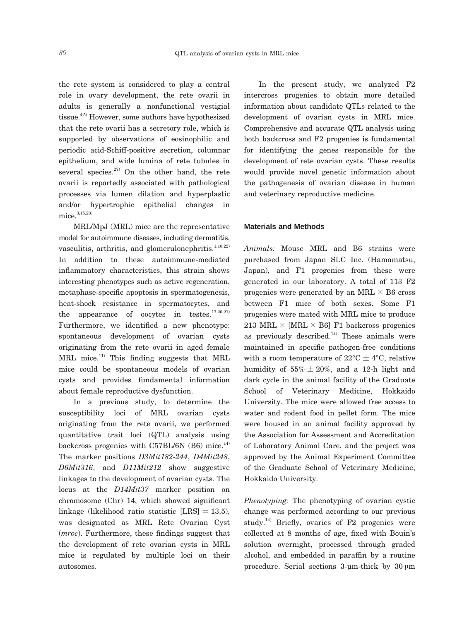the rete system is considered to play a central role in ovary development, the rete ovarii in adults is generally a nonfunctional vestigial tissue.<sup>4,5)</sup> However, some authors have hypothesized that the rete ovarii has a secretory role, which is supported by observations of eosinophilic and periodic acid-Schiff-positive secretion, columnar epithelium, and wide lumina of rete tubules in several species. $27$  On the other hand, the rete ovarii is reportedly associated with pathological processes via lumen dilation and hyperplastic and/or hypertrophic epithelial changes in mice  $^{3,15,23)}$ 

 MRL/MpJ (MRL) mice are the representative model for autoimmune diseases, including dermatitis, vasculitis, arthritis, and glomerulonephritis. $1,10,22$ ) In addition to these autoimmune-mediated inflammatory characteristics, this strain shows interesting phenotypes such as active regeneration, metaphase-specific apoptosis in spermatogenesis, heat-shock resistance in spermatocytes, and the appearance of oocytes in testes.<sup>17,20,21)</sup> Furthermore, we identified a new phenotype: spontaneous development of ovarian cysts originating from the rete ovarii in aged female  $MRL$  mice.<sup>11)</sup> This finding suggests that MRL mice could be spontaneous models of ovarian cysts and provides fundamental information about female reproductive dysfunction.

 In a previous study, to determine the susceptibility loci of MRL ovarian cysts originating from the rete ovarii, we performed quantitative trait loci (QTL) analysis using backcross progenies with C57BL/6N  $(B6)$  mice.<sup>14)</sup> The marker positions *D3Mit182*-*244*, *D4Mit248*, *D6Mit316*, and *D11Mit212* show suggestive linkages to the development of ovarian cysts. The locus at the *D14Mit37* marker position on chromosome (Chr) 14, which showed significant linkage (likelihood ratio statistic  $[LES] = 13.5$ ), was designated as MRL Rete Ovarian Cyst (*mroc*). Furthermore, these findings suggest that the development of rete ovarian cysts in MRL mice is regulated by multiple loci on their autosomes.

 In the present study, we analyzed F2 intercross progenies to obtain more detailed information about candidate QTLs related to the development of ovarian cysts in MRL mice. Comprehensive and accurate QTL analysis using both backcross and F2 progenies is fundamental for identifying the genes responsible for the development of rete ovarian cysts. These results would provide novel genetic information about the pathogenesis of ovarian disease in human and veterinary reproductive medicine.

#### **Materials and Methods**

*Animals:* Mouse MRL and B6 strains were purchased from Japan SLC Inc. (Hamamatsu, Japan), and F1 progenies from these were generated in our laboratory. A total of 113 F2 progenies were generated by an MRL  $\times$  B6 cross between F1 mice of both sexes. Some F1 progenies were mated with MRL mice to produce 213 MRL  $\times$  [MRL  $\times$  B6] F1 backcross progenies as previously described.<sup>14)</sup> These animals were maintained in specific pathogen-free conditions with a room temperature of  $22^{\circ}C \pm 4^{\circ}C$ , relative humidity of  $55\% \pm 20\%$ , and a 12-h light and dark cycle in the animal facility of the Graduate School of Veterinary Medicine, Hokkaido University. The mice were allowed free access to water and rodent food in pellet form. The mice were housed in an animal facility approved by the Association for Assessment and Accreditation of Laboratory Animal Care, and the project was approved by the Animal Experiment Committee of the Graduate School of Veterinary Medicine, Hokkaido University.

*Phenotyping:* The phenotyping of ovarian cystic change was performed according to our previous study.<sup>14)</sup> Briefly, ovaries of  $F2$  progenies were collected at 8 months of age, fixed with Bouin's solution overnight, processed through graded alcohol, and embedded in paraffin by a routine procedure. Serial sections 3-μm-thick by 30 μm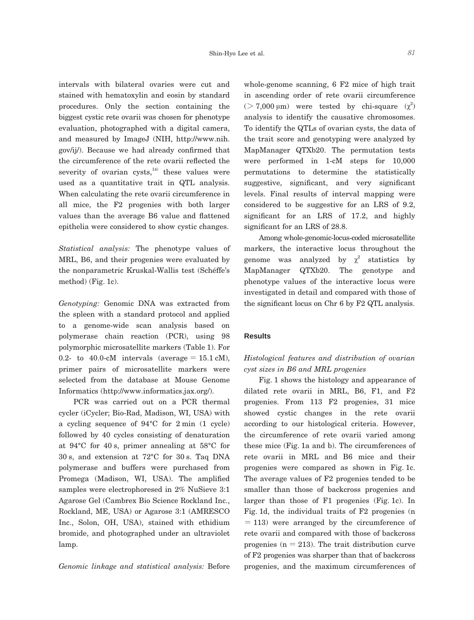intervals with bilateral ovaries were cut and stained with hematoxylin and eosin by standard procedures. Only the section containing the biggest cystic rete ovarii was chosen for phenotype evaluation, photographed with a digital camera, and measured by ImageJ (NIH, http://www.nih. gov/ij/). Because we had already confirmed that the circumference of the rete ovarii reflected the severity of ovarian cysts, $14$  these values were used as a quantitative trait in QTL analysis. When calculating the rete ovarii circumference in all mice, the F2 progenies with both larger values than the average B6 value and flattened epithelia were considered to show cystic changes.

*Statistical analysis:* The phenotype values of MRL, B6, and their progenies were evaluated by the nonparametric Kruskal-Wallis test (Schéffe's method) (Fig. 1c).

*Genotyping:* Genomic DNA was extracted from the spleen with a standard protocol and applied to a genome-wide scan analysis based on polymerase chain reaction (PCR), using 98 polymorphic microsatellite markers (Table 1). For 0.2- to 40.0-cM intervals (average  $= 15.1$  cM), primer pairs of microsatellite markers were selected from the database at Mouse Genome Informatics (http://www.informatics.jax.org/).

 PCR was carried out on a PCR thermal cycler (iCycler; Bio-Rad, Madison, WI, USA) with a cycling sequence of 94°C for 2 min (1 cycle) followed by 40 cycles consisting of denaturation at 94°C for 40 s, primer annealing at 58°C for 30 s, and extension at 72°C for 30 s. Taq DNA polymerase and buffers were purchased from Promega (Madison, WI, USA). The amplified samples were electrophoresed in 2% NuSieve 3:1 Agarose Gel (Cambrex Bio Science Rockland Inc., Rockland, ME, USA) or Agarose 3:1 (AMRESCO Inc., Solon, OH, USA), stained with ethidium bromide, and photographed under an ultraviolet lamp.

*Genomic linkage and statistical analysis:* Before

whole-genome scanning, 6 F2 mice of high trait in ascending order of rete ovarii circumference  $($  > 7,000  $\mu$ m) were tested by chi-square  $(\chi^2)$ analysis to identify the causative chromosomes. To identify the QTLs of ovarian cysts, the data of the trait score and genotyping were analyzed by MapManager QTXb20. The permutation tests were performed in 1-cM steps for 10,000 permutations to determine the statistically suggestive, significant, and very significant levels. Final results of interval mapping were considered to be suggestive for an LRS of 9.2, significant for an LRS of 17.2, and highly significant for an LRS of 28.8.

 Among whole-genomic-locus-coded microsatellite markers, the interactive locus throughout the genome was analyzed by  $\chi^2$  statistics by MapManager QTXb20. The genotype and phenotype values of the interactive locus were investigated in detail and compared with those of the significant locus on Chr 6 by F2 QTL analysis.

#### **Results**

## *Histological features and distribution of ovarian cyst sizes in B6 and MRL progenies*

 Fig. 1 shows the histology and appearance of dilated rete ovarii in MRL, B6, F1, and F2 progenies. From 113 F2 progenies, 31 mice showed cystic changes in the rete ovarii according to our histological criteria. However, the circumference of rete ovarii varied among these mice (Fig. 1a and b). The circumferences of rete ovarii in MRL and B6 mice and their progenies were compared as shown in Fig. 1c. The average values of F2 progenies tended to be smaller than those of backcross progenies and larger than those of F1 progenies (Fig. 1c). In Fig. 1d, the individual traits of F2 progenies (n  $= 113$ ) were arranged by the circumference of rete ovarii and compared with those of backcross progenies  $(n = 213)$ . The trait distribution curve of F2 progenies was sharper than that of backcross progenies, and the maximum circumferences of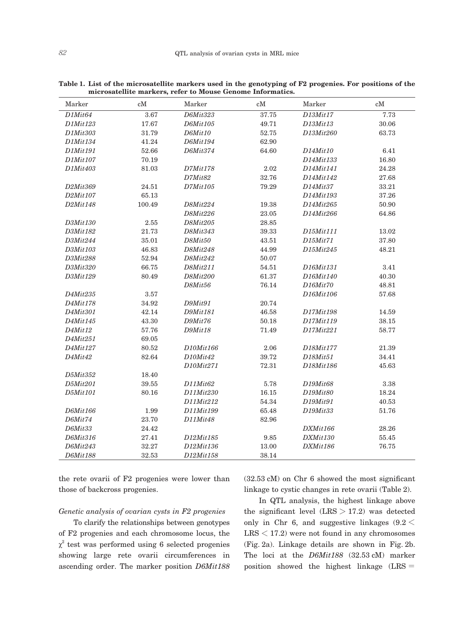| Marker   | $\rm cM$ | Marker                            | $\rm cM$ | Marker    | $\rm cM$ |
|----------|----------|-----------------------------------|----------|-----------|----------|
| D1Mit64  | 3.67     | D6Mit323                          | 37.75    | D13Mit17  | 7.73     |
| D1Mit123 | 17.67    | D6Mit105                          | 49.71    | D13Mit13  | 30.06    |
| D1Mit303 | 31.79    | D6Mit10                           | 52.75    | D13Mit260 | 63.73    |
| D1Mit134 | 41.24    | D6Mit194                          | 62.90    |           |          |
| D1Mit191 | 52.66    | D6Mit374                          | 64.60    | D14Mit10  | 6.41     |
| D1Mit107 | 70.19    |                                   |          | D14Mit133 | 16.80    |
| D1Mit403 | 81.03    | D7Mit178                          | 2.02     | D14Mit141 | 24.28    |
|          |          | D7Mit82                           | 32.76    | D14Mit142 | 27.68    |
| D2Mit369 | 24.51    | D7Mit105                          | 79.29    | D14Mit37  | 33.21    |
| D2Mit107 | 65.13    |                                   |          | D14Mit193 | 37.26    |
| D2Mit148 | 100.49   | D8Mit224                          | 19.38    | D14Mit265 | 50.90    |
|          |          | D8Mit226                          | 23.05    | D14Mit266 | 64.86    |
| D3Mit130 | 2.55     | D8Mit205                          | 28.85    |           |          |
| D3Mit182 | 21.73    | D8Mit343                          | 39.33    | D15Mit111 | 13.02    |
| D3Mit244 | 35.01    | D8Mit50                           | 43.51    | D15Mit71  | 37.80    |
| D3Mit103 | 46.83    | D8Mit248                          | 44.99    | D15Mit245 | 48.21    |
| D3Mit288 | 52.94    | D8Mit242                          | 50.07    |           |          |
| D3Mit320 | 66.75    | D8Mit211                          | 54.51    | D16Mit131 | 3.41     |
| D3Mit129 | 80.49    | D8Mit200                          | 61.37    | D16Mit140 | 40.30    |
|          |          | D8Mit56                           | 76.14    | D16Mit70  | 48.81    |
| D4Mit235 | 3.57     |                                   |          | D16Mit106 | 57.68    |
| D4Mit178 | 34.92    | D9Mit91                           | 20.74    |           |          |
| D4Mit301 | 42.14    | D9Mit181                          | 46.58    | D17Mit198 | 14.59    |
| D4Mit145 | 43.30    | D9Mit76                           | 50.18    | D17Mit119 | 38.15    |
| D4Mit12  | 57.76    | D9Mit18                           | 71.49    | D17Mit221 | 58.77    |
| D4Mit251 | 69.05    |                                   |          |           |          |
| D4Mit127 | 80.52    | D10Mit166                         | 2.06     | D18Mit177 | 21.39    |
| D4Mit42  | 82.64    | D <sub>10</sub> Mit <sub>42</sub> | 39.72    | D18Mit51  | 34.41    |
|          |          | D10Mit271                         | 72.31    | D18Mit186 | 45.63    |
| D5Mit352 | 18.40    |                                   |          |           |          |
| D5Mit201 | 39.55    | D11Mit62                          | 5.78     | D19Mit68  | 3.38     |
| D5Mit101 | 80.16    | D11Mit230                         | 16.15    | D19Mit80  | 18.24    |
|          |          | D11Mit212                         | 54.34    | D19Mit91  | 40.53    |
| D6Mit166 | 1.99     | D11Mit199                         | 65.48    | D19Mit33  | 51.76    |
| D6Mit74  | 23.70    | D11Mit48                          | 82.96    |           |          |
| D6Mit33  | 24.42    |                                   |          | DXMit166  | 28.26    |
| D6Mit316 | 27.41    | D12Mit185                         | 9.85     | DXMit130  | 55.45    |
| D6Mit243 | 32.27    | D12Mit136                         | 13.00    | DXMit186  | 76.75    |
| D6Mit188 | 32.53    | D12Mit158                         | 38.14    |           |          |

**Table 1. List of the microsatellite markers used in the genotyping of F2 progenies. For positions of the microsatellite markers, refer to Mouse Genome Informatics.**

the rete ovarii of F2 progenies were lower than those of backcross progenies.

linkage to cystic changes in rete ovarii (Table 2).

### *Genetic analysis of ovarian cysts in F2 progenies*

 To clarify the relationships between genotypes of F2 progenies and each chromosome locus, the  $\chi^2$  test was performed using 6 selected progenies showing large rete ovarii circumferences in ascending order. The marker position *D6Mit188*

 In QTL analysis, the highest linkage above the significant level  $(LRS > 17.2)$  was detected only in Chr 6, and suggestive linkages  $(9.2 \le$  $LRS < 17.2$ ) were not found in any chromosomes (Fig. 2a). Linkage details are shown in Fig. 2b. The loci at the *D6Mit188* (32.53 cM) marker position showed the highest linkage (LRS =

(32.53 cM) on Chr 6 showed the most significant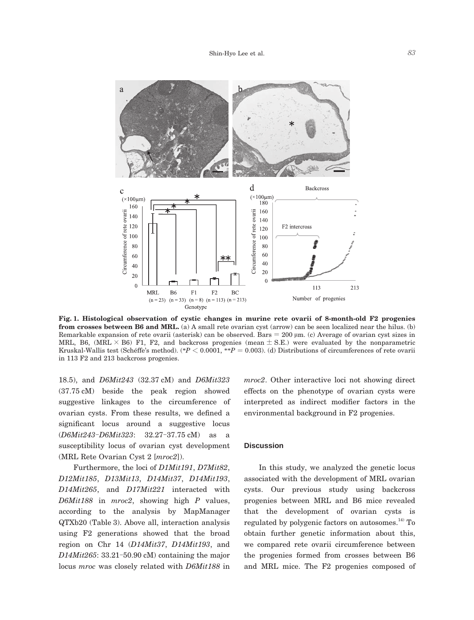

**Fig. 1. Histological observation of cystic changes in murine rete ovarii of 8-month-old F2 progenies from crosses between B6 and MRL.** (a) A small rete ovarian cyst (arrow) can be seen localized near the hilus. (b) Remarkable expansion of rete ovarii (asterisk) can be observed. Bars = 200 μm. (c) Average of ovarian cyst sizes in MRL, B6, (MRL  $\times$  B6) F1, F2, and backcross progenies (mean  $\pm$  S.E.) were evaluated by the nonparametric Kruskal-Wallis test (Schéffe's method). (\**P* < 0.0001, \*\**P* = 0.003). (d) Distributions of circumferences of rete ovarii in 113 F2 and 213 backcross progenies.

18.5), and *D6Mit243* (32.37 cM) and *D6Mit323* (37.75 cM) beside the peak region showed suggestive linkages to the circumference of ovarian cysts. From these results, we defined a significant locus around a suggestive locus (*D6Mit243*-*D6Mit323*: 32.27-37.75 cM) as a susceptibility locus of ovarian cyst development (MRL Rete Ovarian Cyst 2 [*mroc2*]).

 Furthermore, the loci of *D1Mit191*, *D7Mit82*, *D12Mit185*, *D13Mit13*, *D14Mit37*, *D14Mit193*, *D14Mit265*, and *D17Mit221* interacted with *D6Mit188* in *mroc2*, showing high *P* values, according to the analysis by MapManager QTXb20 (Table 3). Above all, interaction analysis using F2 generations showed that the broad region on Chr 14 (*D14Mit37*, *D14Mit193*, and *D14Mit265*: 33.21-50.90 cM) containing the major locus *mroc* was closely related with *D6Mit188* in *mroc2*. Other interactive loci not showing direct effects on the phenotype of ovarian cysts were interpreted as indirect modifier factors in the environmental background in F2 progenies.

#### **Discussion**

 In this study, we analyzed the genetic locus associated with the development of MRL ovarian cysts. Our previous study using backcross progenies between MRL and B6 mice revealed that the development of ovarian cysts is regulated by polygenic factors on autosomes. $^{14)}$  To obtain further genetic information about this, we compared rete ovarii circumference between the progenies formed from crosses between B6 and MRL mice. The F2 progenies composed of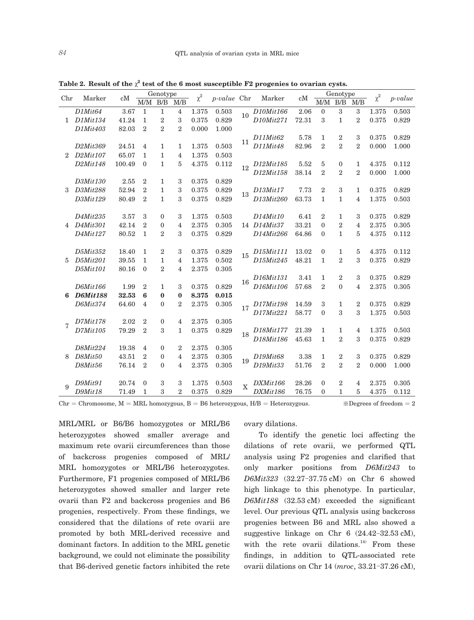|                | Marker                            | cM     | Genotype       |                  |                |          |       |                    |             | Genotype |                |                |                                                                 |          |         |
|----------------|-----------------------------------|--------|----------------|------------------|----------------|----------|-------|--------------------|-------------|----------|----------------|----------------|-----------------------------------------------------------------|----------|---------|
| Chr            |                                   |        | M/M            | B/B              | M/B            | $\chi^2$ |       | <i>p-value</i> Chr | Marker      | cM       | M/M            | B/B            | $\ensuremath{\mathsf{M}}\xspace/\ensuremath{\mathsf{B}}\xspace$ | $\chi^2$ | p-value |
|                | D1Mit64                           | 3.67   | $\mathbf{1}$   | $\mathbf{1}$     | $\overline{4}$ | 1.375    | 0.503 | 10                 | D10Mit166   | 2.06     | $\mathbf{0}$   | 3              | 3                                                               | 1.375    | 0.503   |
| 1              | D1Mit134                          | 41.24  | $\mathbf{1}$   | $\boldsymbol{2}$ | 3              | 0.375    | 0.829 |                    | D10Mit271   | 72.31    | 3              | $\mathbf{1}$   | $\overline{2}$                                                  | 0.375    | 0.829   |
|                | D1Mit403                          | 82.03  | $\overline{2}$ | $\overline{2}$   | $\overline{2}$ | 0.000    | 1.000 |                    |             |          |                |                |                                                                 |          |         |
|                |                                   |        |                |                  |                |          |       |                    | D11Mit62    | 5.78     | $\mathbf{1}$   | $\overline{2}$ | 3                                                               | 0.375    | 0.829   |
| $\overline{2}$ | D <sub>2</sub> Mit <sub>369</sub> | 24.51  | 4              | 1                | 1              | 1.375    | 0.503 | 11                 | D11Mit48    | 82.96    | $\mathfrak{D}$ | $\overline{2}$ | $\overline{2}$                                                  | 0.000    | 1.000   |
|                | D2Mit107                          | 65.07  | 1              | $\mathbf{1}$     | $\overline{4}$ | 1.375    | 0.503 |                    |             |          |                |                |                                                                 |          |         |
|                | D2Mit148                          | 100.49 | $\theta$       | $\mathbf{1}$     | 5              | 4.375    | 0.112 | 12                 | D12Mit185   | 5.52     | 5              | 0              | $\mathbf{1}$                                                    | 4.375    | 0.112   |
|                |                                   |        |                |                  |                |          |       |                    | D12Mit158   | 38.14    | $\overline{2}$ | $\overline{2}$ | $\overline{2}$                                                  | 0.000    | 1.000   |
|                | D3Mit130                          | 2.55   | $\overline{2}$ | $\mathbf{1}$     | 3              | 0.375    | 0.829 |                    |             |          |                |                |                                                                 |          |         |
| 3              | D3Mit288                          | 52.94  | $\overline{2}$ | $\mathbf{1}$     | 3              | 0.375    | 0.829 |                    | D13Mit17    | 7.73     | $\overline{2}$ | 3              | 1                                                               | 0.375    | 0.829   |
|                | D3Mit129                          | 80.49  | $\overline{2}$ | $\mathbf{1}$     | 3              | 0.375    | 0.829 | 13                 | D13Mit260   | 63.73    | $\mathbf{1}$   | 1              | $\overline{\mathbf{4}}$                                         | 1.375    | 0.503   |
|                |                                   |        |                |                  |                |          |       |                    |             |          |                |                |                                                                 |          |         |
|                | D4Mit235                          | 3.57   | 3              | $\theta$         | 3              | 1.375    | 0.503 |                    | D14Mit10    | 6.41     | $\overline{2}$ | 1              | 3                                                               | 0.375    | 0.829   |
| 4              | D4Mit301                          | 42.14  | $\overline{2}$ | $\theta$         | $\overline{4}$ | 2.375    | 0.305 |                    | 14 D14Mit37 | 33.21    | $\theta$       | $\overline{2}$ | $\overline{4}$                                                  | 2.375    | 0.305   |
|                | D4Mit127                          | 80.52  | $\mathbf{1}$   | $\overline{2}$   | 3              | 0.375    | 0.829 |                    | D14Mit266   | 64.86    | $\theta$       | $\mathbf{1}$   | 5                                                               | 4.375    | 0.112   |
|                |                                   |        |                |                  |                |          |       |                    |             |          |                |                |                                                                 |          |         |
|                | D5Mit352                          | 18.40  | $\mathbf{1}$   | $\overline{2}$   | 3              | 0.375    | 0.829 | 15                 | D15Mit111   | 13.02    | $\overline{0}$ | 1              | 5                                                               | 4.375    | 0.112   |
| 5              | D5Mit201                          | 39.55  | 1              | $\mathbf{1}$     | $\overline{4}$ | 1.375    | 0.502 |                    | D15Mit245   | 48.21    | 1              | $\overline{2}$ | 3                                                               | 0.375    | 0.829   |
|                | D5Mit101                          | 80.16  | $\Omega$       | $\overline{2}$   | $\overline{4}$ | 2.375    | 0.305 |                    |             |          |                |                |                                                                 |          |         |
|                |                                   |        |                |                  |                |          |       |                    | D16Mit131   | 3.41     | 1              | $\overline{2}$ | 3                                                               | 0.375    | 0.829   |
|                | D6Mit166                          | 1.99   | $\overline{2}$ | $\mathbf{1}$     | 3              | 0.375    | 0.829 | 16                 | D16Mit106   | 57.68    | $\overline{2}$ | $\theta$       | 4                                                               | 2.375    | 0.305   |
| 6              | <b>D6Mit188</b>                   | 32.53  | 6              | $\mathbf 0$      | $\bf{0}$       | 8.375    | 0.015 |                    |             |          |                |                |                                                                 |          |         |
|                | D6Mit374                          | 64.60  | 4              | $\mathbf{0}$     | $\overline{2}$ | 2.375    | 0.305 |                    | D17Mit198   | 14.59    | 3              | 1              | $\overline{2}$                                                  | 0.375    | 0.829   |
|                |                                   |        |                |                  |                |          |       | 17                 | D17Mit221   | 58.77    | $\theta$       | 3              | 3                                                               | 1.375    | 0.503   |
|                | D7Mit178                          | 2.02   | $\overline{2}$ | $\mathbf{0}$     | $\overline{4}$ | 2.375    | 0.305 |                    |             |          |                |                |                                                                 |          |         |
| 7              | D7Mit105                          | 79.29  | $\overline{2}$ | 3                | $\mathbf{1}$   | 0.375    | 0.829 |                    | D18Mit177   | 21.39    | $\mathbf{1}$   | 1              | 4                                                               | 1.375    | 0.503   |
|                |                                   |        |                |                  |                |          |       | 18                 | D18Mit186   | 45.63    | $\mathbf{1}$   | $\overline{2}$ | 3                                                               | 0.375    | 0.829   |
|                | D8Mit224                          | 19.38  | 4              | $\mathbf{0}$     | $\overline{2}$ | 2.375    | 0.305 |                    |             |          |                |                |                                                                 |          |         |
| 8              | D8Mit50                           | 43.51  | $\overline{2}$ | $\mathbf{0}$     | 4              | 2.375    | 0.305 |                    | D19Mit68    | 3.38     | $\mathbf{1}$   | 2              | 3                                                               | 0.375    | 0.829   |
|                | D8Mit56                           | 76.14  | $\overline{2}$ | $\theta$         | 4              | 2.375    | 0.305 | 19                 | D19Mit33    | 51.76    | $\overline{2}$ | $\overline{2}$ | $\overline{2}$                                                  | 0.000    | 1.000   |
|                |                                   |        |                |                  |                |          |       |                    |             |          |                |                |                                                                 |          |         |
|                | D9Mit91                           | 20.74  | $\mathbf{0}$   | 3                | 3              | 1.375    | 0.503 |                    | DXMit166    | 28.26    | $\overline{0}$ | $\overline{2}$ | 4                                                               | 2.375    | 0.305   |
| 9              | D9Mit18                           | 71.49  | $\mathbf{1}$   | 3                | $\mathfrak{D}$ | 0.375    | 0.829 | $\overline{X}$     | DXMit186    | 76.75    | $\Omega$       | $\mathbf{1}$   | 5                                                               | 4.375    | 0.112   |
|                |                                   |        |                |                  |                |          |       |                    |             |          |                |                |                                                                 |          |         |

Table 2. Result of the  $\chi^2$  test of the 6 most susceptible F2 progenies to ovarian cysts.

 $Chr = Chromosome, M = MRL homozygous, B = B6 heterozygous, H/B = Heterozygous.$ <br>  $\&$  Degrees of freedom = 2

MRL/MRL or B6/B6 homozygotes or MRL/B6 heterozygotes showed smaller average and maximum rete ovarii circumferences than those of backcross progenies composed of MRL/ MRL homozygotes or MRL/B6 heterozygotes. Furthermore, F1 progenies composed of MRL/B6 heterozygotes showed smaller and larger rete ovarii than F2 and backcross progenies and B6 progenies, respectively. From these findings, we considered that the dilations of rete ovarii are promoted by both MRL-derived recessive and dominant factors. In addition to the MRL genetic background, we could not eliminate the possibility that B6-derived genetic factors inhibited the rete

ovary dilations.

 To identify the genetic loci affecting the dilations of rete ovarii, we performed QTL analysis using F2 progenies and clarified that only marker positions from *D6Mit243* to *D6Mit323* (32.27-37.75 cM) on Chr 6 showed high linkage to this phenotype. In particular, *D6Mit188* (32.53 cM) exceeded the significant level. Our previous QTL analysis using backcross progenies between B6 and MRL also showed a suggestive linkage on Chr 6 (24.42-32.53 cM), with the rete ovarii dilations.<sup>14)</sup> From these findings, in addition to QTL-associated rete ovarii dilations on Chr 14 (*mroc*, 33.21-37.26 cM),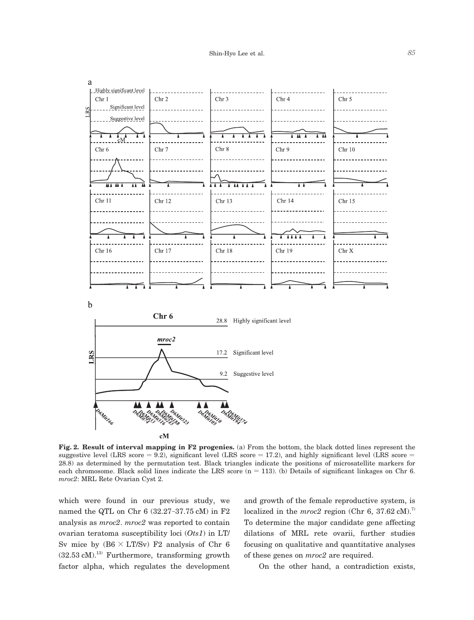

**Fig. 2. Result of interval mapping in F2 progenies.** (a) From the bottom, the black dotted lines represent the suggestive level (LRS score  $= 9.2$ ), significant level (LRS score  $= 17.2$ ), and highly significant level (LRS score  $=$ 28.8) as determined by the permutation test. Black triangles indicate the positions of microsatellite markers for each chromosome. Black solid lines indicate the LRS score  $(n = 113)$ . (b) Details of significant linkages on Chr 6. *mroc2*: MRL Rete Ovarian Cyst 2.

which were found in our previous study, we named the QTL on Chr 6 (32.27-37.75 cM) in F2 analysis as *mroc2*. *mroc2* was reported to contain ovarian teratoma susceptibility loci (*Ots1*) in LT/ Sv mice by  $(B6 \times LT/Sv)$  F2 analysis of Chr 6  $(32.53 \text{ cM})$ <sup>13)</sup> Furthermore, transforming growth factor alpha, which regulates the development

and growth of the female reproductive system, is localized in the  $mroc2$  region (Chr 6, 37.62 cM).<sup>7)</sup> To determine the major candidate gene affecting dilations of MRL rete ovarii, further studies focusing on qualitative and quantitative analyses of these genes on *mroc2* are required.

On the other hand, a contradiction exists,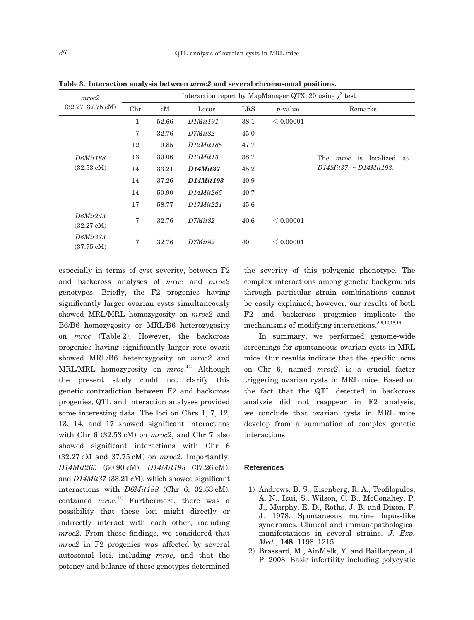| mroc2                        | Interaction report by MapManager QTXb20 using $\chi^2$ test |       |                                    |            |            |                                    |  |  |  |  |  |
|------------------------------|-------------------------------------------------------------|-------|------------------------------------|------------|------------|------------------------------------|--|--|--|--|--|
| $(32.27 - 37.75 \text{ cM})$ | Chr                                                         | cM    | Locus                              | <b>LRS</b> | $p$ -value | Remarks                            |  |  |  |  |  |
|                              | $\mathbf{1}$                                                | 52.66 | D1Mit191                           | 38.1       | < 0.00001  |                                    |  |  |  |  |  |
|                              | 7                                                           | 32.76 | D7Mit82                            | 45.0       |            |                                    |  |  |  |  |  |
|                              | 12                                                          | 9.85  | D <sub>12</sub> Mit <sub>185</sub> | 47.7       |            |                                    |  |  |  |  |  |
| D6Mit188                     | 13                                                          | 30.06 | $D13M$ it13                        | 38.7       |            | The <i>mroc</i> is localized<br>at |  |  |  |  |  |
| $(32.53 \text{ cM})$         | 14                                                          | 33.21 | <b>D14Mit37</b>                    | 45.2       |            | $D14Mit37 \sim D14Mit193$ .        |  |  |  |  |  |
|                              | 14                                                          | 37.26 | D14Mit193                          | 40.9       |            |                                    |  |  |  |  |  |
|                              | 14                                                          | 50.90 | D14Mit265                          | 40.7       |            |                                    |  |  |  |  |  |
|                              | 17                                                          | 58.77 | D17Mit221                          | 45.6       |            |                                    |  |  |  |  |  |
| D6Mit243                     | 7                                                           | 32.76 | D7Mit82                            | 40.6       | < 0.00001  |                                    |  |  |  |  |  |
| $(32.27 \text{ cM})$         |                                                             |       |                                    |            |            |                                    |  |  |  |  |  |
| D6Mit323                     | 7                                                           | 32.76 | D7Mit82                            | 40         | < 0.00001  |                                    |  |  |  |  |  |
| $(37.75 \text{ cM})$         |                                                             |       |                                    |            |            |                                    |  |  |  |  |  |

**Table 3. Interaction analysis between** *mroc2* **and several chromosomal positions.**

especially in terms of cyst severity, between F2 and backcross analyses of *mroc* and *mroc2* genotypes. Briefly, the F2 progenies having significantly larger ovarian cysts simultaneously showed MRL/MRL homozygosity on *mroc2* and B6/B6 homozygosity or MRL/B6 heterozygosity on *mroc* (Table 2). However, the backcross progenies having significantly larger rete ovarii showed MRL/B6 heterozygosity on *mroc2* and MRL/MRL homozygosity on *mroc*. 14) Although the present study could not clarify this genetic contradiction between F2 and backcross progenies, QTL and interaction analyses provided some interesting data. The loci on Chrs 1, 7, 12, 13, 14, and 17 showed significant interactions with Chr 6 (32.53 cM) on *mroc2*, and Chr 7 also showed significant interactions with Chr 6 (32.27 cM and 37.75 cM) on *mroc2*. Importantly, *D14Mit265* (50.90 cM), *D14Mit193* (37.26 cM), and *D14Mit37* (33.21 cM), which showed significant interactions with *D6Mit188* (Chr 6; 32.53 cM), contained *mroc*. 14) Furthermore, there was a possibility that these loci might directly or indirectly interact with each other, including *mroc2*. From these findings, we considered that *mroc2* in F2 progenies was affected by several autosomal loci, including *mroc*, and that the potency and balance of these genotypes determined

the severity of this polygenic phenotype. The complex interactions among genetic backgrounds through particular strain combinations cannot be easily explained; however, our results of both F2 and backcross progenies implicate the mechanisms of modifying interactions.  $8,9,12,18,19$ 

 In summary, we performed genome-wide screenings for spontaneous ovarian cysts in MRL mice. Our results indicate that the specific locus on Chr 6, named *mroc2*, is a crucial factor triggering ovarian cysts in MRL mice. Based on the fact that the QTL detected in backcross analysis did not reappear in F2 analysis, we conclude that ovarian cysts in MRL mice develop from a summation of complex genetic interactions.

#### **References**

- 1) Andrews, B. S., Eisenberg, R. A., Teofilopulos, A. N., Izui, S., Wilson, C. B., McConahey, P. J., Murphy, E. D., Roths, J. B. and Dixon, F. J. 1978. Spontaneous murine lupus-like syndromes. Clinical and immunopathological manifestations in several strains. *J. Exp. Med.*, **148**: 1198-1215.
- 2) Brassard, M., AinMelk, Y. and Baillargeon, J. P. 2008. Basic infertility including polycystic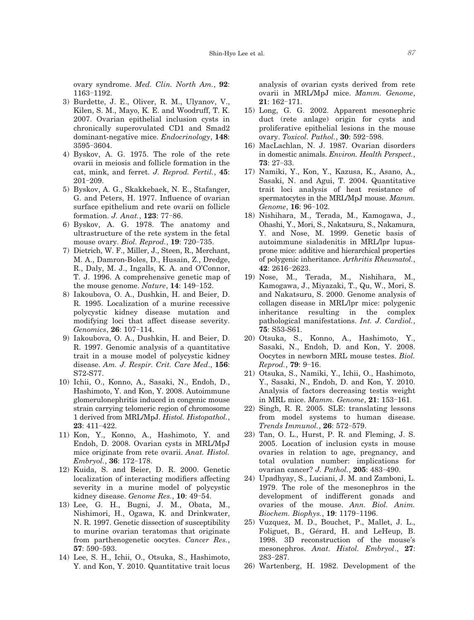ovary syndrome. *Med. Clin. North Am.*, **92**: 1163-1192.

- 3) Burdette, J. E., Oliver, R. M., Ulyanov, V., Kilen, S. M., Mayo, K. E. and Woodruff, T. K. 2007. Ovarian epithelial inclusion cysts in chronically superovulated CD1 and Smad2 dominant-negative mice. *Endocrinology*, **148**: 3595-3604.
- 4) Byskov, A. G. 1975. The role of the rete ovarii in meiosis and follicle formation in the cat, mink, and ferret. *J. Reprod. Fertil.*, **45**: 201-209.
- 5) Byskov, A. G., Skakkebaek, N. E., Stafanger, G. and Peters, H. 1977. Influence of ovarian surface epithelium and rete ovarii on follicle formation. *J. Anat.*, **123**: 77-86.
- 6) Byskov, A. G. 1978. The anatomy and ultrastructure of the rete system in the fetal mouse ovary. *Biol. Reprod.*, **19**: 720-735.
- 7) Dietrich, W. F., Miller, J., Steen, R., Merchant, M. A., Damron-Boles, D., Husain, Z., Dredge, R., Daly, M. J., Ingalls, K. A. and O'Connor, T. J. 1996. A comprehensive genetic map of the mouse genome. *Nature*, **14**: 149-152.
- 8) Iakoubova, O. A., Dushkin, H. and Beier, D. R. 1995. Localization of a murine recessive polycystic kidney disease mutation and modifying loci that affect disease severity. *Genomics*, **26**: 107-114.
- 9) Iakoubova, O. A., Dushkin, H. and Beier, D. R. 1997. Genomic analysis of a quantitative trait in a mouse model of polycystic kidney disease. *Am. J. Respir. Crit. Care Med*., **156**: S72-S77.
- 10) Ichii, O., Konno, A., Sasaki, N., Endoh, D., Hashimoto, Y. and Kon, Y. 2008. Autoimmune glomerulonephritis induced in congenic mouse strain carrying telomeric region of chromosome 1 derived from MRL/MpJ. *Histol. Histopathol.*, **23**: 411-422.
- 11) Kon, Y., Konno, A., Hashimoto, Y. and Endoh, D. 2008. Ovarian cysts in MRL/MpJ mice originate from rete ovarii. *Anat. Histol. Embryol.*, **36**: 172-178.
- 12) Kuida, S. and Beier, D. R. 2000. Genetic localization of interacting modifiers affecting severity in a murine model of polycystic kidney disease. *Genome Res.*, **10**: 49-54.
- 13) Lee, G. H., Bugni, J. M., Obata, M., Nishimori, H., Ogawa, K. and Drinkwater, N. R. 1997. Genetic dissection of susceptibility to murine ovarian teratomas that originate from parthenogenetic oocytes. *Cancer Res.*, **57**: 590-593.
- 14) Lee, S. H., Ichii, O., Otsuka, S., Hashimoto, Y. and Kon, Y. 2010. Quantitative trait locus

analysis of ovarian cysts derived from rete ovarii in MRL/MpJ mice. *Mamm. Genome*, **21**: 162-171.

- 15) Long, G. G. 2002. Apparent mesonephric duct (rete anlage) origin for cysts and proliferative epithelial lesions in the mouse ovary. *Toxicol. Pathol.*, **30**: 592-598.
- 16) MacLachlan, N. J. 1987. Ovarian disorders in domestic animals. *Environ. Health Perspect.*, **73**: 27-33.
- 17) Namiki, Y., Kon, Y., Kazusa, K., Asano, A., Sasaki, N. and Agui, T. 2004. Quantitative trait loci analysis of heat resistance of spermatocytes in the MRL/MpJ mouse. *Mamm. Genome*, **16**: 96-102.
- 18) Nishihara, M., Terada, M., Kamogawa, J., Ohashi, Y., Mori, S., Nakatsuru, S., Nakamura, Y. and Nose, M. 1999. Genetic basis of autoimmune sialadenitis in MRL/lpr lupusprone mice: additive and hierarchical properties of polygenic inheritance. *Arthritis Rheumatol.*, **42**: 2616-2623.
- 19) Nose, M., Terada, M., Nishihara, M., Kamogawa, J., Miyazaki, T., Qu, W., Mori, S. and Nakatsuru, S. 2000. Genome analysis of collagen disease in MRL/lpr mice: polygenic inheritance resulting in the complex pathological manifestations. *Int. J. Cardiol.*, **75**: S53-S61.
- 20) Otsuka, S., Konno, A., Hashimoto, Y., Sasaki, N., Endoh, D. and Kon, Y. 2008. Oocytes in newborn MRL mouse testes. *Biol. Reprod.*, **79**: 9-16.
- 21) Otsuka, S., Namiki, Y., Ichii, O., Hashimoto, Y., Sasaki, N., Endoh, D. and Kon, Y. 2010. Analysis of factors decreasing testis weight in MRL mice. *Mamm. Genome*, **21**: 153-161.
- 22) Singh, R. R. 2005. SLE: translating lessons from model systems to human disease. *Trends Immunol.*, **26**: 572-579.
- 23) Tan, O. L., Hurst, P. R. and Fleming, J. S. 2005. Location of inclusion cysts in mouse ovaries in relation to age, pregnancy, and total ovulation number: implications for ovarian cancer? *J. Pathol.*, **205**: 483-490.
- 24) Upadhyay, S., Luciani, J. M. and Zamboni, L. 1979. The role of the mesonephros in the development of indifferent gonads and ovaries of the mouse. *Ann. Biol. Anim. Biochem. Biophys.*, **19**: 1179-1196.
- 25) Vuzquez, M. D., Bouchet, P., Mallet, J. L., Foliguet, B., Gérard, H. and LeHeup, B. 1998. 3D reconstruction of the mouse's mesonephros. *Anat. Histol. Embryol*., **27**: 283-287.
- 26) Wartenberg, H. 1982. Development of the